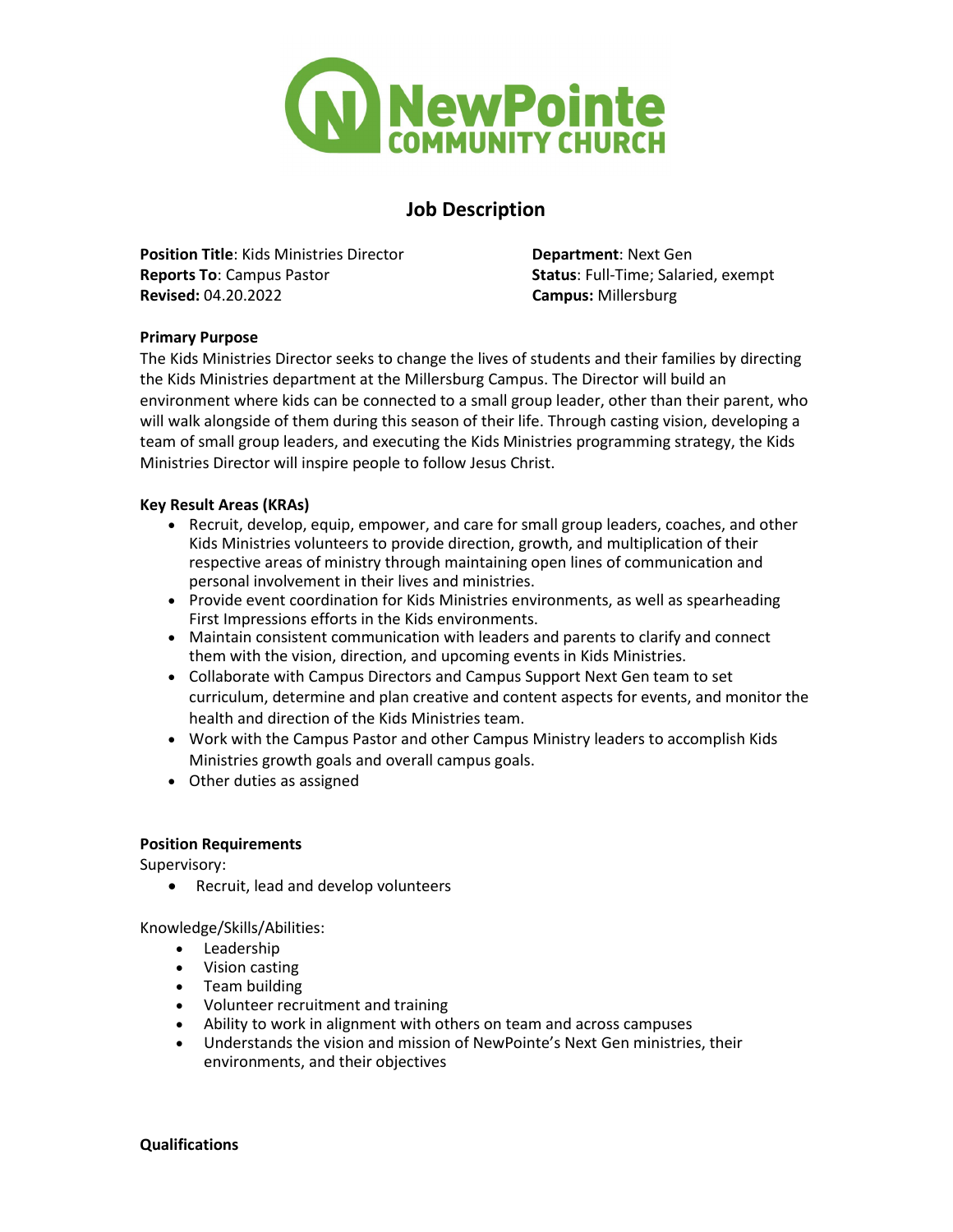

# **Job Description**

**Position Title**: Kids Ministries Director **Department**: Next Gen **Reports To**: Campus Pastor **Status**: Full-Time; Salaried, exempt **Revised:** 04.20.2022 **Campus:** Millersburg

## **Primary Purpose**

The Kids Ministries Director seeks to change the lives of students and their families by directing the Kids Ministries department at the Millersburg Campus. The Director will build an environment where kids can be connected to a small group leader, other than their parent, who will walk alongside of them during this season of their life. Through casting vision, developing a team of small group leaders, and executing the Kids Ministries programming strategy, the Kids Ministries Director will inspire people to follow Jesus Christ.

### **Key Result Areas (KRAs)**

- Recruit, develop, equip, empower, and care for small group leaders, coaches, and other Kids Ministries volunteers to provide direction, growth, and multiplication of their respective areas of ministry through maintaining open lines of communication and personal involvement in their lives and ministries.
- Provide event coordination for Kids Ministries environments, as well as spearheading First Impressions efforts in the Kids environments.
- Maintain consistent communication with leaders and parents to clarify and connect them with the vision, direction, and upcoming events in Kids Ministries.
- Collaborate with Campus Directors and Campus Support Next Gen team to set curriculum, determine and plan creative and content aspects for events, and monitor the health and direction of the Kids Ministries team.
- Work with the Campus Pastor and other Campus Ministry leaders to accomplish Kids Ministries growth goals and overall campus goals.
- Other duties as assigned

### **Position Requirements**

Supervisory:

• Recruit, lead and develop volunteers

Knowledge/Skills/Abilities:

- Leadership
- Vision casting
- Team building
- Volunteer recruitment and training
- Ability to work in alignment with others on team and across campuses
- Understands the vision and mission of NewPointe's Next Gen ministries, their environments, and their objectives